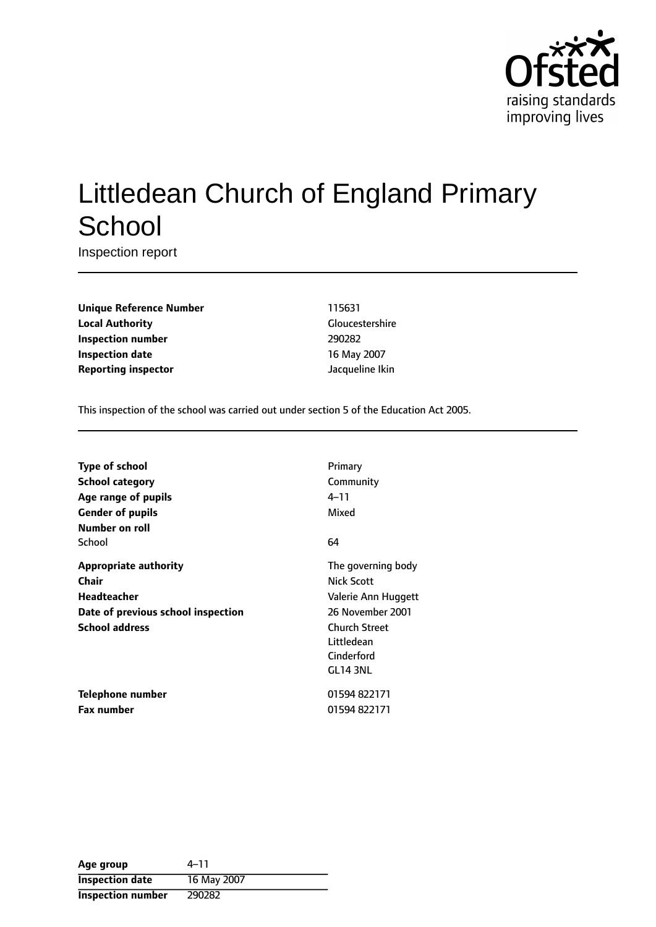

# Littledean Church of England Primary **School**

Inspection report

**Unique Reference Number** 115631 **Local Authority** Gloucestershire **Inspection number** 290282 **Inspection date** 16 May 2007 **Reporting inspector and a structure in the set of the United Structure Islands and Jacqueline Ikin** 

This inspection of the school was carried out under section 5 of the Education Act 2005.

| Type of school                     | Primary              |
|------------------------------------|----------------------|
| <b>School category</b>             | Community            |
| Age range of pupils                | 4–11                 |
| <b>Gender of pupils</b>            | Mixed                |
| Number on roll                     |                      |
| School                             | 64                   |
| <b>Appropriate authority</b>       | The governing body   |
| Chair                              | Nick Scott           |
| <b>Headteacher</b>                 | Valerie Ann Huggett  |
| Date of previous school inspection | 26 November 2001     |
| <b>School address</b>              | <b>Church Street</b> |
|                                    | Littledean           |
|                                    | Cinderford           |
|                                    | GL14 3NL             |
| Telephone number                   | 01594822171          |
| <b>Fax number</b>                  | 01594 822171         |

| Age group                | 4–11        |
|--------------------------|-------------|
| <b>Inspection date</b>   | 16 May 2007 |
| <b>Inspection number</b> | 290282      |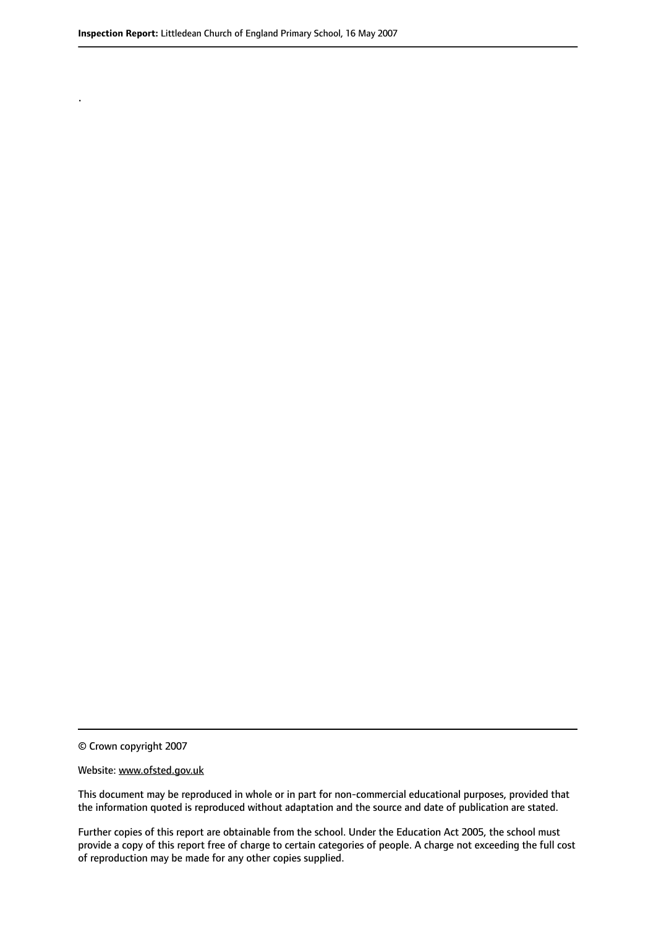.

© Crown copyright 2007

#### Website: www.ofsted.gov.uk

This document may be reproduced in whole or in part for non-commercial educational purposes, provided that the information quoted is reproduced without adaptation and the source and date of publication are stated.

Further copies of this report are obtainable from the school. Under the Education Act 2005, the school must provide a copy of this report free of charge to certain categories of people. A charge not exceeding the full cost of reproduction may be made for any other copies supplied.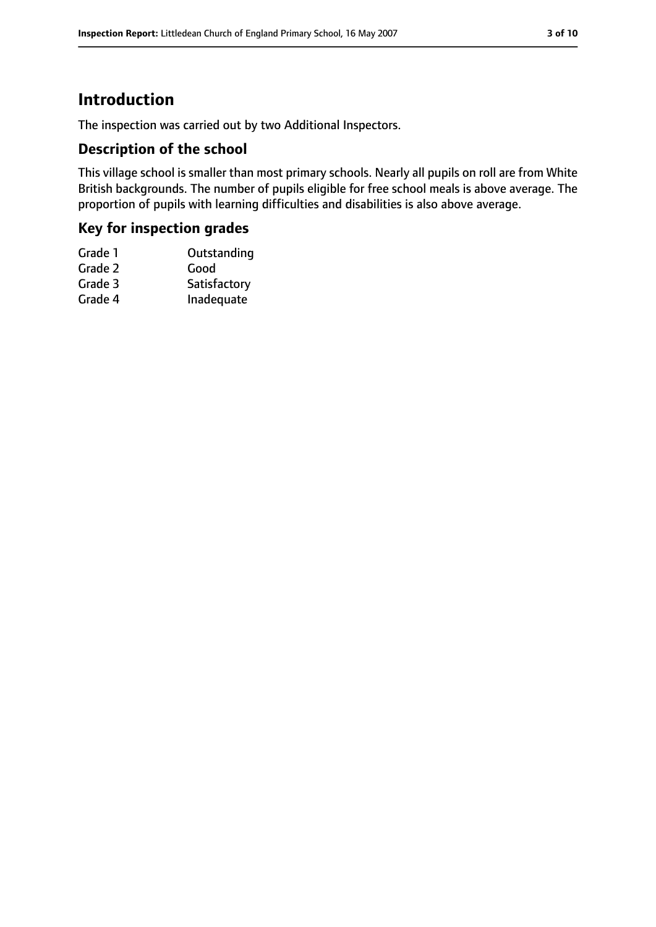# **Introduction**

The inspection was carried out by two Additional Inspectors.

## **Description of the school**

This village school is smaller than most primary schools. Nearly all pupils on roll are from White British backgrounds. The number of pupils eligible for free school meals is above average. The proportion of pupils with learning difficulties and disabilities is also above average.

# **Key for inspection grades**

| Grade 1 | Outstanding  |
|---------|--------------|
| Grade 2 | Good         |
| Grade 3 | Satisfactory |
| Grade 4 | Inadequate   |
|         |              |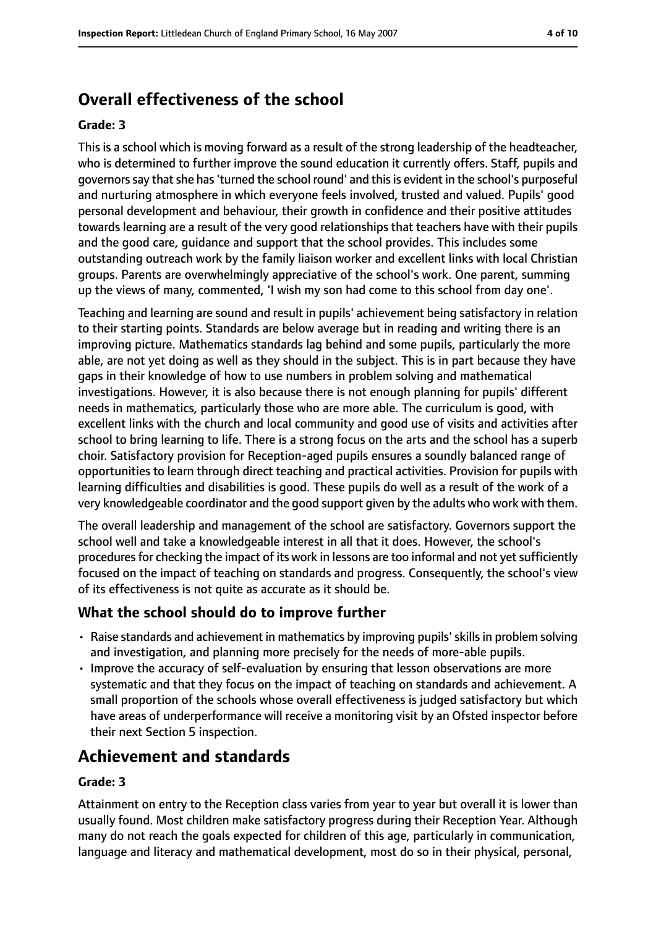# **Overall effectiveness of the school**

#### **Grade: 3**

This is a school which is moving forward as a result of the strong leadership of the headteacher, who is determined to further improve the sound education it currently offers. Staff, pupils and governors say that she has 'turned the school round' and this is evident in the school's purposeful and nurturing atmosphere in which everyone feels involved, trusted and valued. Pupils' good personal development and behaviour, their growth in confidence and their positive attitudes towards learning are a result of the very good relationships that teachers have with their pupils and the good care, guidance and support that the school provides. This includes some outstanding outreach work by the family liaison worker and excellent links with local Christian groups. Parents are overwhelmingly appreciative of the school's work. One parent, summing up the views of many, commented, 'I wish my son had come to this school from day one'.

Teaching and learning are sound and result in pupils' achievement being satisfactory in relation to their starting points. Standards are below average but in reading and writing there is an improving picture. Mathematics standards lag behind and some pupils, particularly the more able, are not yet doing as well as they should in the subject. This is in part because they have gaps in their knowledge of how to use numbers in problem solving and mathematical investigations. However, it is also because there is not enough planning for pupils' different needs in mathematics, particularly those who are more able. The curriculum is good, with excellent links with the church and local community and good use of visits and activities after school to bring learning to life. There is a strong focus on the arts and the school has a superb choir. Satisfactory provision for Reception-aged pupils ensures a soundly balanced range of opportunities to learn through direct teaching and practical activities. Provision for pupils with learning difficulties and disabilities is good. These pupils do well as a result of the work of a very knowledgeable coordinator and the good support given by the adults who work with them.

The overall leadership and management of the school are satisfactory. Governors support the school well and take a knowledgeable interest in all that it does. However, the school's procedures for checking the impact of its work in lessons are too informal and not yet sufficiently focused on the impact of teaching on standards and progress. Consequently, the school's view of its effectiveness is not quite as accurate as it should be.

## **What the school should do to improve further**

- Raise standards and achievement in mathematics by improving pupils'skillsin problem solving and investigation, and planning more precisely for the needs of more-able pupils.
- Improve the accuracy of self-evaluation by ensuring that lesson observations are more systematic and that they focus on the impact of teaching on standards and achievement. A small proportion of the schools whose overall effectiveness is judged satisfactory but which have areas of underperformance will receive a monitoring visit by an Ofsted inspector before their next Section 5 inspection.

# **Achievement and standards**

#### **Grade: 3**

Attainment on entry to the Reception class varies from year to year but overall it is lower than usually found. Most children make satisfactory progress during their Reception Year. Although many do not reach the goals expected for children of this age, particularly in communication, language and literacy and mathematical development, most do so in their physical, personal,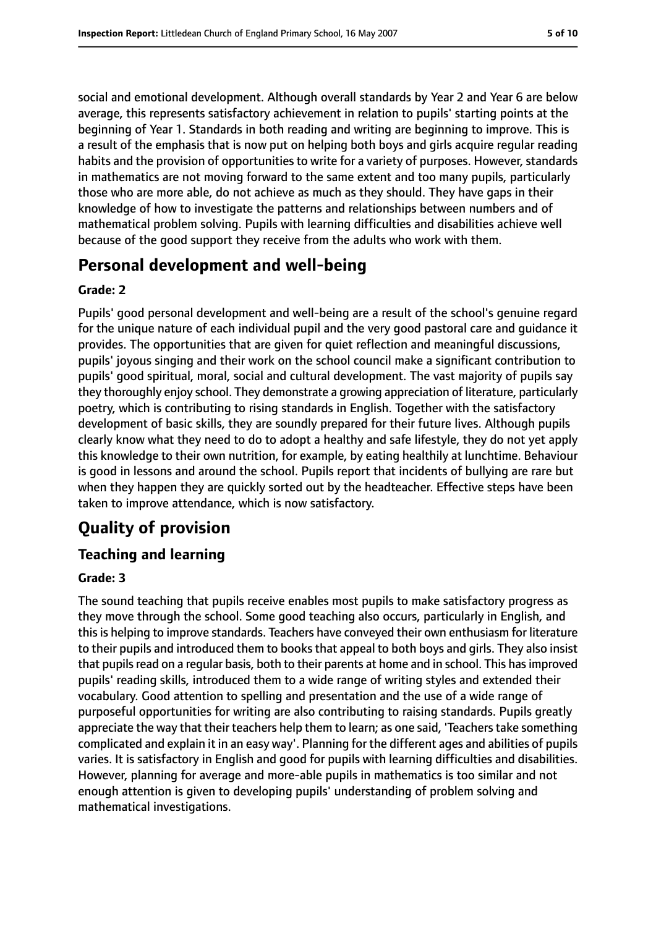social and emotional development. Although overall standards by Year 2 and Year 6 are below average, this represents satisfactory achievement in relation to pupils' starting points at the beginning of Year 1. Standards in both reading and writing are beginning to improve. This is a result of the emphasis that is now put on helping both boys and girls acquire regular reading habits and the provision of opportunities to write for a variety of purposes. However, standards in mathematics are not moving forward to the same extent and too many pupils, particularly those who are more able, do not achieve as much as they should. They have gaps in their knowledge of how to investigate the patterns and relationships between numbers and of mathematical problem solving. Pupils with learning difficulties and disabilities achieve well because of the good support they receive from the adults who work with them.

# **Personal development and well-being**

### **Grade: 2**

Pupils' good personal development and well-being are a result of the school's genuine regard for the unique nature of each individual pupil and the very good pastoral care and guidance it provides. The opportunities that are given for quiet reflection and meaningful discussions, pupils' joyous singing and their work on the school council make a significant contribution to pupils' good spiritual, moral, social and cultural development. The vast majority of pupils say they thoroughly enjoy school. They demonstrate a growing appreciation of literature, particularly poetry, which is contributing to rising standards in English. Together with the satisfactory development of basic skills, they are soundly prepared for their future lives. Although pupils clearly know what they need to do to adopt a healthy and safe lifestyle, they do not yet apply this knowledge to their own nutrition, for example, by eating healthily at lunchtime. Behaviour is good in lessons and around the school. Pupils report that incidents of bullying are rare but when they happen they are quickly sorted out by the headteacher. Effective steps have been taken to improve attendance, which is now satisfactory.

# **Quality of provision**

# **Teaching and learning**

## **Grade: 3**

The sound teaching that pupils receive enables most pupils to make satisfactory progress as they move through the school. Some good teaching also occurs, particularly in English, and this is helping to improve standards. Teachers have conveyed their own enthusiasm for literature to their pupils and introduced them to books that appeal to both boys and girls. They also insist that pupils read on a regular basis, both to their parents at home and in school. This has improved pupils' reading skills, introduced them to a wide range of writing styles and extended their vocabulary. Good attention to spelling and presentation and the use of a wide range of purposeful opportunities for writing are also contributing to raising standards. Pupils greatly appreciate the way that their teachers help them to learn; as one said, 'Teachers take something complicated and explain it in an easy way'. Planning for the different ages and abilities of pupils varies. It is satisfactory in English and good for pupils with learning difficulties and disabilities. However, planning for average and more-able pupils in mathematics is too similar and not enough attention is given to developing pupils' understanding of problem solving and mathematical investigations.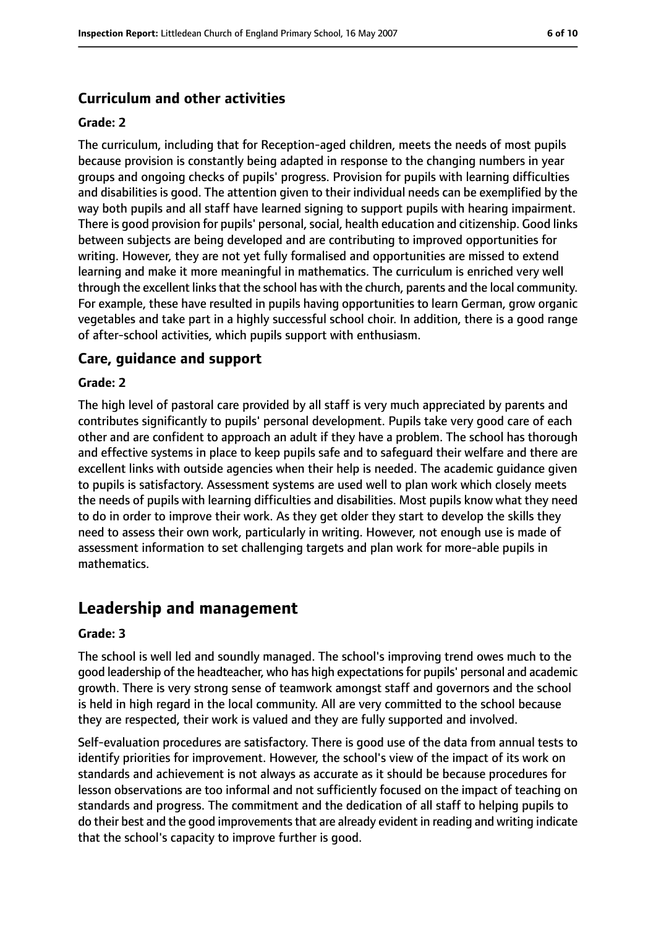# **Curriculum and other activities**

#### **Grade: 2**

The curriculum, including that for Reception-aged children, meets the needs of most pupils because provision is constantly being adapted in response to the changing numbers in year groups and ongoing checks of pupils' progress. Provision for pupils with learning difficulties and disabilities is good. The attention given to their individual needs can be exemplified by the way both pupils and all staff have learned signing to support pupils with hearing impairment. There is good provision for pupils' personal, social, health education and citizenship. Good links between subjects are being developed and are contributing to improved opportunities for writing. However, they are not yet fully formalised and opportunities are missed to extend learning and make it more meaningful in mathematics. The curriculum is enriched very well through the excellent links that the school has with the church, parents and the local community. For example, these have resulted in pupils having opportunities to learn German, grow organic vegetables and take part in a highly successful school choir. In addition, there is a good range of after-school activities, which pupils support with enthusiasm.

## **Care, guidance and support**

#### **Grade: 2**

The high level of pastoral care provided by all staff is very much appreciated by parents and contributes significantly to pupils' personal development. Pupils take very good care of each other and are confident to approach an adult if they have a problem. The school has thorough and effective systems in place to keep pupils safe and to safeguard their welfare and there are excellent links with outside agencies when their help is needed. The academic guidance given to pupils is satisfactory. Assessment systems are used well to plan work which closely meets the needs of pupils with learning difficulties and disabilities. Most pupils know what they need to do in order to improve their work. As they get older they start to develop the skills they need to assess their own work, particularly in writing. However, not enough use is made of assessment information to set challenging targets and plan work for more-able pupils in mathematics.

# **Leadership and management**

#### **Grade: 3**

The school is well led and soundly managed. The school's improving trend owes much to the good leadership of the headteacher, who has high expectationsfor pupils' personal and academic growth. There is very strong sense of teamwork amongst staff and governors and the school is held in high regard in the local community. All are very committed to the school because they are respected, their work is valued and they are fully supported and involved.

Self-evaluation procedures are satisfactory. There is good use of the data from annual tests to identify priorities for improvement. However, the school's view of the impact of its work on standards and achievement is not always as accurate as it should be because procedures for lesson observations are too informal and not sufficiently focused on the impact of teaching on standards and progress. The commitment and the dedication of all staff to helping pupils to do their best and the good improvements that are already evident in reading and writing indicate that the school's capacity to improve further is good.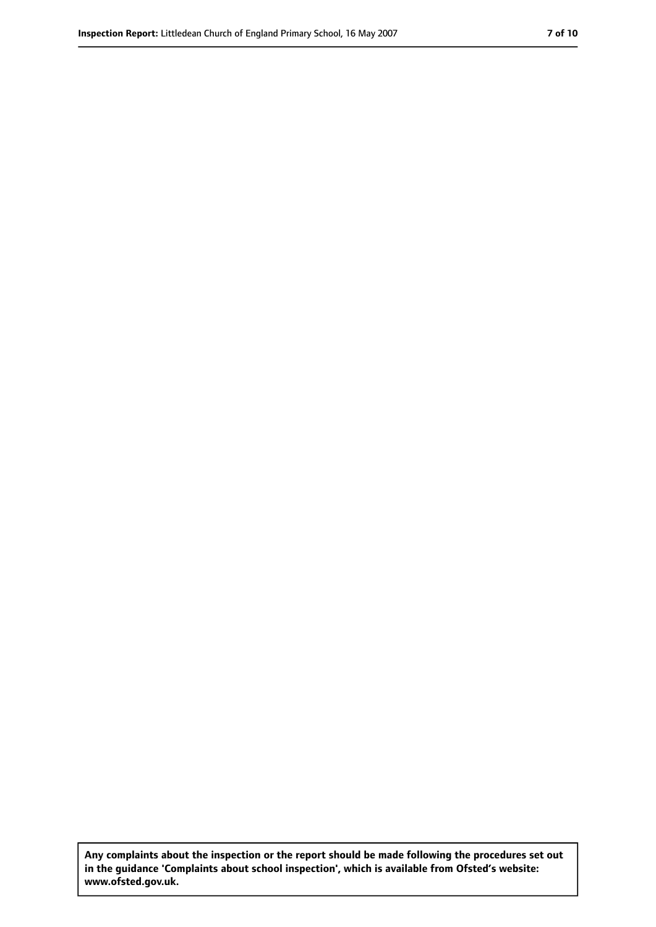**Any complaints about the inspection or the report should be made following the procedures set out in the guidance 'Complaints about school inspection', which is available from Ofsted's website: www.ofsted.gov.uk.**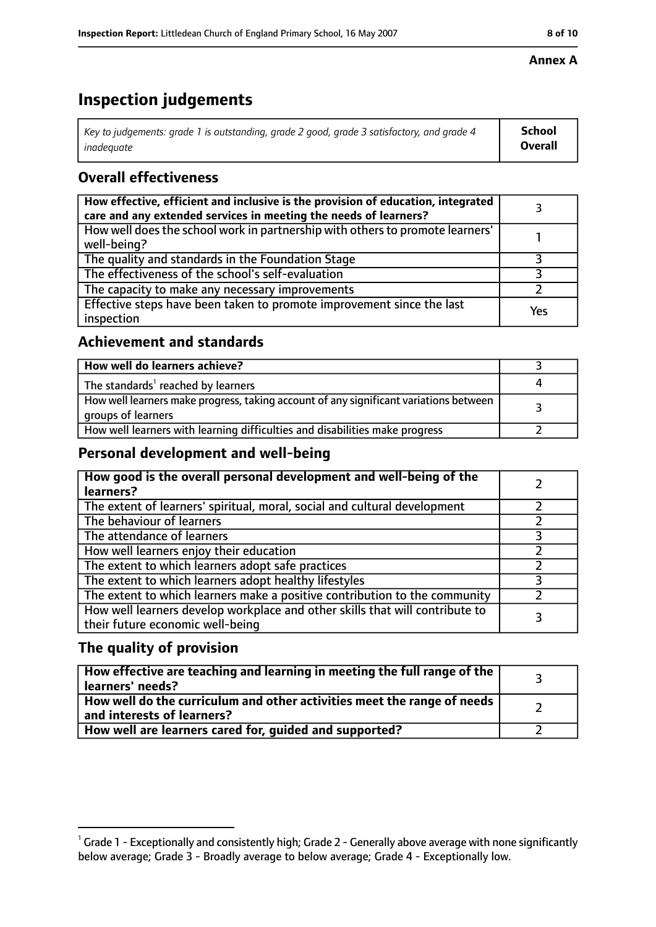#### **Inspection Report:** Littledean Church of England Primary School, 16 May 2007 **8 10**

#### **Annex A**

# **Inspection judgements**

| Key to judgements: grade 1 is outstanding, grade 2 good, grade 3 satisfactory, and grade 4 $\,$ | <b>School</b>  |
|-------------------------------------------------------------------------------------------------|----------------|
| inadequate                                                                                      | <b>Overall</b> |

# **Overall effectiveness**

| How effective, efficient and inclusive is the provision of education, integrated<br>care and any extended services in meeting the needs of learners? |     |
|------------------------------------------------------------------------------------------------------------------------------------------------------|-----|
| How well does the school work in partnership with others to promote learners'<br>well-being?                                                         |     |
| The quality and standards in the Foundation Stage                                                                                                    |     |
| The effectiveness of the school's self-evaluation                                                                                                    |     |
| The capacity to make any necessary improvements                                                                                                      |     |
| Effective steps have been taken to promote improvement since the last<br>inspection                                                                  | Yes |

# **Achievement and standards**

| How well do learners achieve?                                                                               |  |
|-------------------------------------------------------------------------------------------------------------|--|
| The standards <sup>1</sup> reached by learners                                                              |  |
| How well learners make progress, taking account of any significant variations between<br>groups of learners |  |
| How well learners with learning difficulties and disabilities make progress                                 |  |

# **Personal development and well-being**

| How good is the overall personal development and well-being of the<br>learners?                                  |  |
|------------------------------------------------------------------------------------------------------------------|--|
| The extent of learners' spiritual, moral, social and cultural development                                        |  |
| The behaviour of learners                                                                                        |  |
| The attendance of learners                                                                                       |  |
| How well learners enjoy their education                                                                          |  |
| The extent to which learners adopt safe practices                                                                |  |
| The extent to which learners adopt healthy lifestyles                                                            |  |
| The extent to which learners make a positive contribution to the community                                       |  |
| How well learners develop workplace and other skills that will contribute to<br>their future economic well-being |  |

# **The quality of provision**

| How effective are teaching and learning in meeting the full range of the<br>learners' needs?          |  |
|-------------------------------------------------------------------------------------------------------|--|
| How well do the curriculum and other activities meet the range of needs<br>and interests of learners? |  |
| How well are learners cared for, guided and supported?                                                |  |

 $^1$  Grade 1 - Exceptionally and consistently high; Grade 2 - Generally above average with none significantly below average; Grade 3 - Broadly average to below average; Grade 4 - Exceptionally low.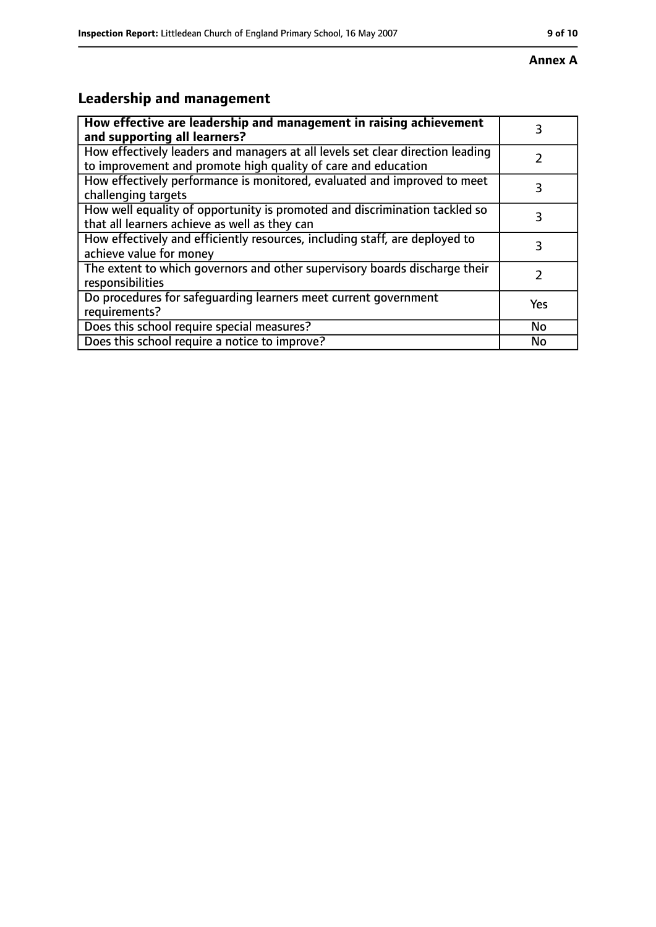#### **Annex A**

# **Leadership and management**

| How effective are leadership and management in raising achievement<br>and supporting all learners?                                              | 3   |
|-------------------------------------------------------------------------------------------------------------------------------------------------|-----|
| How effectively leaders and managers at all levels set clear direction leading<br>to improvement and promote high quality of care and education |     |
| How effectively performance is monitored, evaluated and improved to meet<br>challenging targets                                                 | 3   |
| How well equality of opportunity is promoted and discrimination tackled so<br>that all learners achieve as well as they can                     |     |
| How effectively and efficiently resources, including staff, are deployed to<br>achieve value for money                                          | 3   |
| The extent to which governors and other supervisory boards discharge their<br>responsibilities                                                  | 7   |
| Do procedures for safequarding learners meet current government<br>requirements?                                                                | Yes |
| Does this school require special measures?                                                                                                      | No  |
| Does this school require a notice to improve?                                                                                                   | No  |